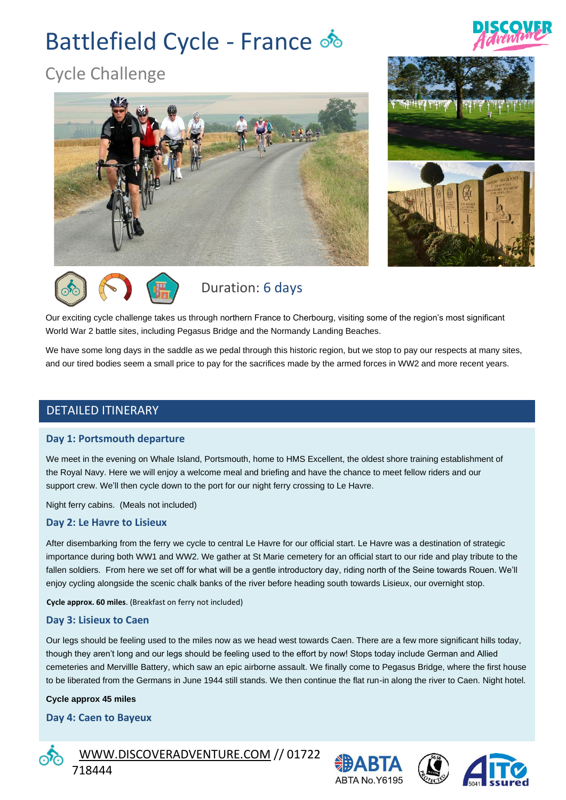# Battlefield Cycle - France  $\delta$



# Cycle Challenge







# Duration: 6 days

Our exciting cycle challenge takes us through northern France to Cherbourg, visiting some of the region's most significant World War 2 battle sites, including Pegasus Bridge and the Normandy Landing Beaches.

We have some long days in the saddle as we pedal through this historic region, but we stop to pay our respects at many sites, and our tired bodies seem a small price to pay for the sacrifices made by the armed forces in WW2 and more recent years.

# DETAILED ITINERARY

#### **Day 1: Portsmouth departure**

We meet in the evening on Whale Island, Portsmouth, home to HMS Excellent, the oldest shore training establishment of the Royal Navy. Here we will enjoy a welcome meal and briefing and have the chance to meet fellow riders and our support crew. We'll then cycle down to the port for our night ferry crossing to Le Havre.

Night ferry cabins. (Meals not included)

#### **Day 2: Le Havre to Lisieux**

After disembarking from the ferry we cycle to central Le Havre for our official start. Le Havre was a destination of strategic importance during both WW1 and WW2. We gather at St Marie cemetery for an official start to our ride and play tribute to the fallen soldiers. From here we set off for what will be a gentle introductory day, riding north of the Seine towards Rouen. We'll enjoy cycling alongside the scenic chalk banks of the river before heading south towards Lisieux, our overnight stop.

**Cycle approx. 60 miles**. (Breakfast on ferry not included)

#### **Day 3: Lisieux to Caen**

Our legs should be feeling used to the miles now as we head west towards Caen. There are a few more significant hills today, though they aren't long and our legs should be feeling used to the effort by now! Stops today include German and Allied cemeteries and Mervillle Battery, which saw an epic airborne assault. We finally come to Pegasus Bridge, where the first house to be liberated from the Germans in June 1944 still stands. We then continue the flat run-in along the river to Caen. Night hotel.

#### **Cycle approx 45 miles**

#### **Day 4: Caen to Bayeux**



 [WWW.DISCOVERADVENTURE.COM](http://www.discoveradventure.com/) // 01722 718444